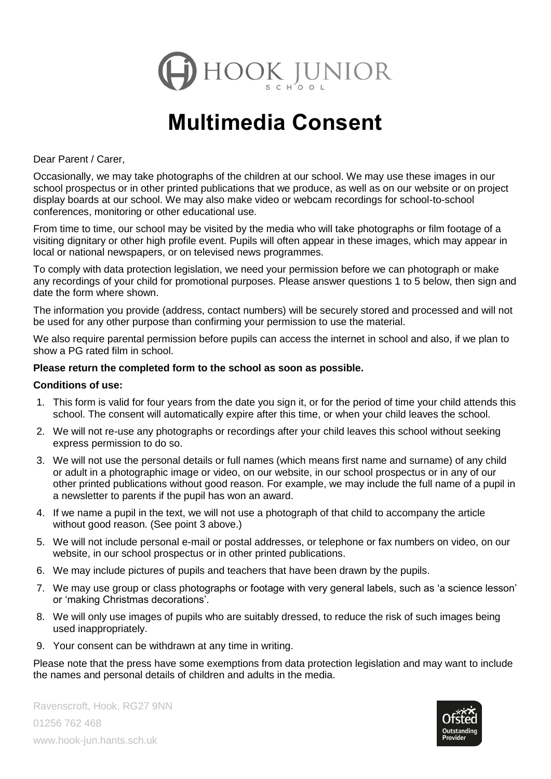

# **Multimedia Consent**

Dear Parent / Carer,

Occasionally, we may take photographs of the children at our school. We may use these images in our school prospectus or in other printed publications that we produce, as well as on our website or on project display boards at our school. We may also make video or webcam recordings for school-to-school conferences, monitoring or other educational use.

From time to time, our school may be visited by the media who will take photographs or film footage of a visiting dignitary or other high profile event. Pupils will often appear in these images, which may appear in local or national newspapers, or on televised news programmes.

To comply with data protection legislation, we need your permission before we can photograph or make any recordings of your child for promotional purposes. Please answer questions 1 to 5 below, then sign and date the form where shown.

The information you provide (address, contact numbers) will be securely stored and processed and will not be used for any other purpose than confirming your permission to use the material.

We also require parental permission before pupils can access the internet in school and also, if we plan to show a PG rated film in school.

### **Please return the completed form to the school as soon as possible.**

#### **Conditions of use:**

- 1. This form is valid for four years from the date you sign it, or for the period of time your child attends this school. The consent will automatically expire after this time, or when your child leaves the school.
- 2. We will not re-use any photographs or recordings after your child leaves this school without seeking express permission to do so.
- 3. We will not use the personal details or full names (which means first name and surname) of any child or adult in a photographic image or video, on our website, in our school prospectus or in any of our other printed publications without good reason. For example, we may include the full name of a pupil in a newsletter to parents if the pupil has won an award.
- 4. If we name a pupil in the text, we will not use a photograph of that child to accompany the article without good reason. (See point 3 above.)
- 5. We will not include personal e-mail or postal addresses, or telephone or fax numbers on video, on our website, in our school prospectus or in other printed publications.
- 6. We may include pictures of pupils and teachers that have been drawn by the pupils.
- 7. We may use group or class photographs or footage with very general labels, such as 'a science lesson' or 'making Christmas decorations'.
- 8. We will only use images of pupils who are suitably dressed, to reduce the risk of such images being used inappropriately.
- 9. Your consent can be withdrawn at any time in writing.

Please note that the press have some exemptions from data protection legislation and may want to include the names and personal details of children and adults in the media.